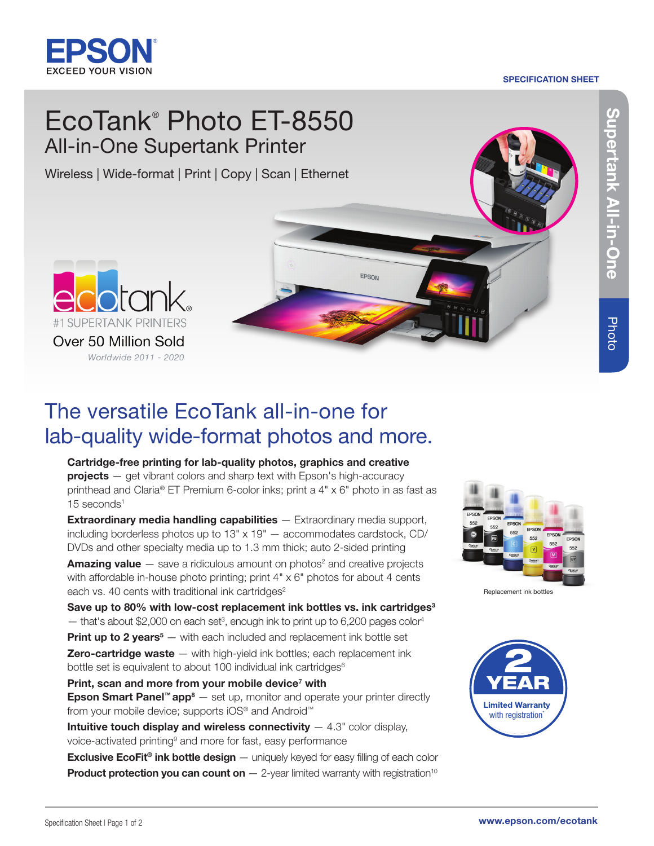

# SPECIFICATION SHEET

# EcoTank® Photo ET-8550 All-in-One Supertank Printer

Wireless | Wide-format | Print | Copy | Scan | Ethernet

Supertank All-in-One rtank All-in-One

Photo



# The versatile EcoTank all-in-one for lab-quality wide-format photos and more.

Cartridge-free printing for lab-quality photos, graphics and creative  $projects - get vibrant colors and sharp text with Epson's high-accuracy$ printhead and Claria® ET Premium 6-color inks; print a 4" x 6" photo in as fast as 15 seconds<sup>1</sup>

EPSON

**Extraordinary media handling capabilities** — Extraordinary media support, including borderless photos up to 13" x 19" — accommodates cardstock, CD/ DVDs and other specialty media up to 1.3 mm thick; auto 2-sided printing

**Amazing value**  $-$  save a ridiculous amount on photos<sup>2</sup> and creative projects with affordable in-house photo printing; print  $4" \times 6"$  photos for about 4 cents each vs. 40 cents with traditional ink cartridges $2$ 

Save up to 80% with low-cost replacement ink bottles vs. ink cartridges<sup>3</sup>

 $-$  that's about \$2,000 on each set<sup>3</sup>, enough ink to print up to 6,200 pages color<sup>4</sup>

Print up to 2 years<sup>5</sup> – with each included and replacement ink bottle set **Zero-cartridge waste**  $-$  with high-yield ink bottles; each replacement ink bottle set is equivalent to about 100 individual ink cartridges<sup>6</sup>

Print, scan and more from your mobile device<sup>7</sup> with **Epson Smart Panel™ app<sup>8</sup>**  $-$  set up, monitor and operate your printer directly

from your mobile device; supports iOS® and Android™

**Intuitive touch display and wireless connectivity**  $-4.3$ " color display, voice-activated printing<sup>9</sup> and more for fast, easy performance

**Exclusive EcoFit<sup>®</sup> ink bottle design** — uniquely keyed for easy filling of each color **Product protection you can count on**  $-$  2-year limited warranty with registration<sup>10</sup>



Replacement ink bottles